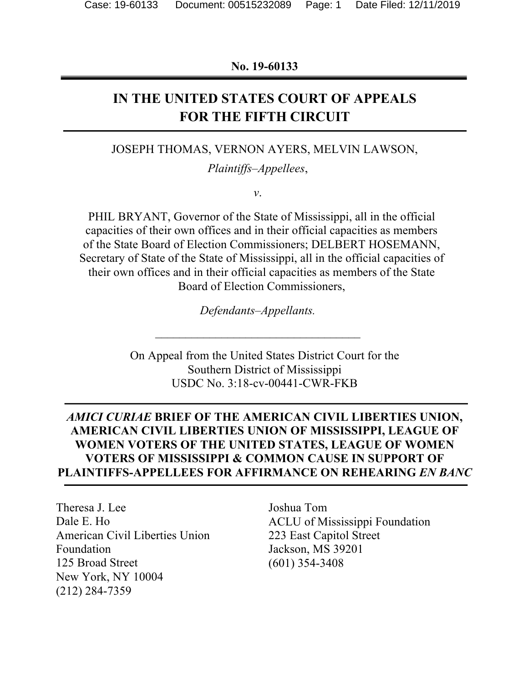#### **No. 19-60133**

# **IN THE UNITED STATES COURT OF APPEALS FOR THE FIFTH CIRCUIT**

#### JOSEPH THOMAS, VERNON AYERS, MELVIN LAWSON,

*Plaintiffs–Appellees*,

*v*.

PHIL BRYANT, Governor of the State of Mississippi, all in the official capacities of their own offices and in their official capacities as members of the State Board of Election Commissioners; DELBERT HOSEMANN, Secretary of State of the State of Mississippi, all in the official capacities of their own offices and in their official capacities as members of the State Board of Election Commissioners,

*Defendants–Appellants.*

 $\mathcal{L}_\text{max}$  , where  $\mathcal{L}_\text{max}$  and  $\mathcal{L}_\text{max}$  and  $\mathcal{L}_\text{max}$ 

On Appeal from the United States District Court for the Southern District of Mississippi USDC No. 3:18-cv-00441-CWR-FKB

### *AMICI CURIAE* **BRIEF OF THE AMERICAN CIVIL LIBERTIES UNION, AMERICAN CIVIL LIBERTIES UNION OF MISSISSIPPI, LEAGUE OF WOMEN VOTERS OF THE UNITED STATES, LEAGUE OF WOMEN VOTERS OF MISSISSIPPI & COMMON CAUSE IN SUPPORT OF PLAINTIFFS-APPELLEES FOR AFFIRMANCE ON REHEARING** *EN BANC*

Theresa J. Lee Dale E. Ho American Civil Liberties Union Foundation 125 Broad Street New York, NY 10004 (212) 284-7359

Joshua Tom ACLU of Mississippi Foundation 223 East Capitol Street Jackson, MS 39201 (601) 354-3408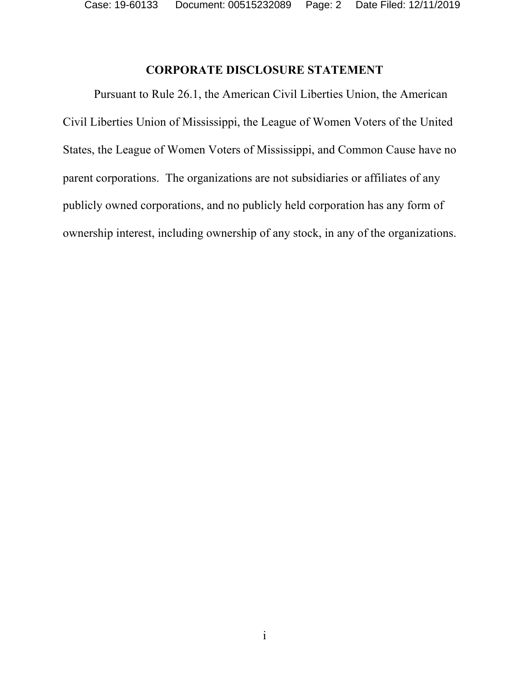Case: 19-60133 Document: 00515232089 Page: 2 Date Filed: 12/11/2019

### **CORPORATE DISCLOSURE STATEMENT**

Pursuant to Rule 26.1, the American Civil Liberties Union, the American Civil Liberties Union of Mississippi, the League of Women Voters of the United States, the League of Women Voters of Mississippi, and Common Cause have no parent corporations. The organizations are not subsidiaries or affiliates of any publicly owned corporations, and no publicly held corporation has any form of ownership interest, including ownership of any stock, in any of the organizations.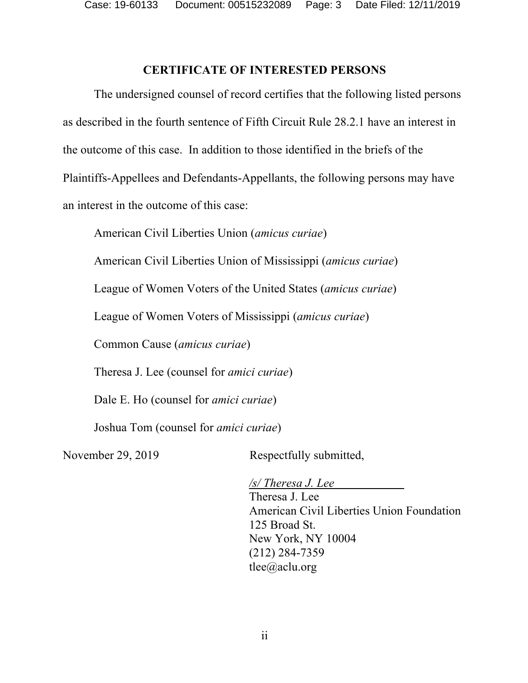Case: 19-60133 Document: 00515232089 Page: 3 Date Filed: 12/11/2019

#### **CERTIFICATE OF INTERESTED PERSONS**

The undersigned counsel of record certifies that the following listed persons as described in the fourth sentence of Fifth Circuit Rule 28.2.1 have an interest in the outcome of this case. In addition to those identified in the briefs of the Plaintiffs-Appellees and Defendants-Appellants, the following persons may have an interest in the outcome of this case:

American Civil Liberties Union (*amicus curiae*)

American Civil Liberties Union of Mississippi (*amicus curiae*)

League of Women Voters of the United States (*amicus curiae*)

League of Women Voters of Mississippi (*amicus curiae*)

Common Cause (*amicus curiae*)

Theresa J. Lee (counsel for *amici curiae*)

Dale E. Ho (counsel for *amici curiae*)

Joshua Tom (counsel for *amici curiae*)

November 29, 2019 Respectfully submitted,

*/s/ Theresa J. Lee* Theresa J. Lee American Civil Liberties Union Foundation 125 Broad St. New York, NY 10004 (212) 284-7359 tlee@aclu.org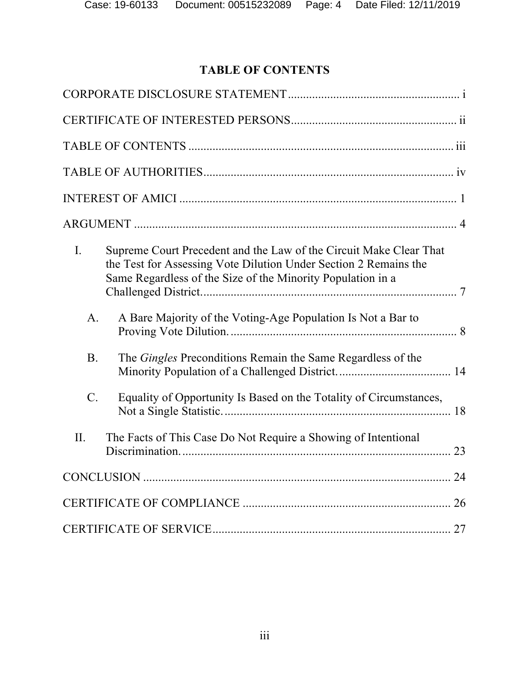## **TABLE OF CONTENTS**

| $\mathbf{I}$ .<br>Supreme Court Precedent and the Law of the Circuit Make Clear That<br>the Test for Assessing Vote Dilution Under Section 2 Remains the<br>Same Regardless of the Size of the Minority Population in a |
|-------------------------------------------------------------------------------------------------------------------------------------------------------------------------------------------------------------------------|
| A Bare Majority of the Voting-Age Population Is Not a Bar to<br>A.                                                                                                                                                      |
| The <i>Gingles</i> Preconditions Remain the Same Regardless of the<br><b>B.</b>                                                                                                                                         |
| $C$ .<br>Equality of Opportunity Is Based on the Totality of Circumstances,                                                                                                                                             |
| The Facts of This Case Do Not Require a Showing of Intentional<br>II.                                                                                                                                                   |
|                                                                                                                                                                                                                         |
|                                                                                                                                                                                                                         |
|                                                                                                                                                                                                                         |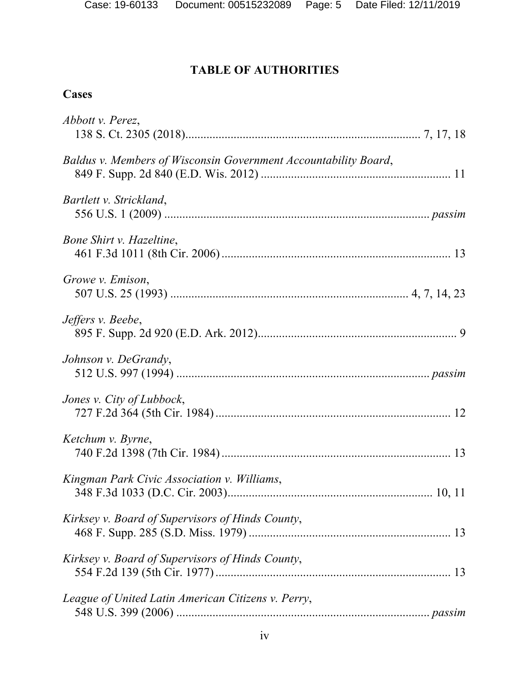## **TABLE OF AUTHORITIES**

## **Cases**

| Abbott v. Perez,                                                |  |
|-----------------------------------------------------------------|--|
| Baldus v. Members of Wisconsin Government Accountability Board, |  |
| Bartlett v. Strickland,                                         |  |
| Bone Shirt v. Hazeltine,                                        |  |
| Growe v. Emison,                                                |  |
| Jeffers v. Beebe,                                               |  |
| Johnson v. DeGrandy,                                            |  |
| Jones v. City of Lubbock,                                       |  |
| Ketchum v. Byrne,                                               |  |
| Kingman Park Civic Association v. Williams,                     |  |
| Kirksey v. Board of Supervisors of Hinds County,                |  |
| Kirksey v. Board of Supervisors of Hinds County,                |  |
| League of United Latin American Citizens v. Perry,              |  |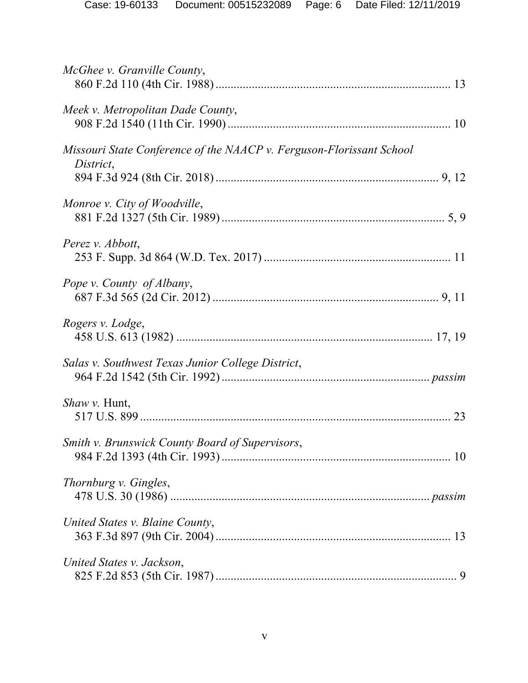| McGhee v. Granville County,                                                       |
|-----------------------------------------------------------------------------------|
| Meek v. Metropolitan Dade County,                                                 |
| Missouri State Conference of the NAACP v. Ferguson-Florissant School<br>District, |
| Monroe v. City of Woodville,                                                      |
| Perez v. Abbott,                                                                  |
| Pope v. County of Albany,                                                         |
| Rogers v. Lodge,                                                                  |
| Salas v. Southwest Texas Junior College District,                                 |
| <i>Shaw v.</i> Hunt,                                                              |
| Smith v. Brunswick County Board of Supervisors,                                   |
| Thornburg v. Gingles,                                                             |
| United States v. Blaine County,                                                   |
| United States v. Jackson,                                                         |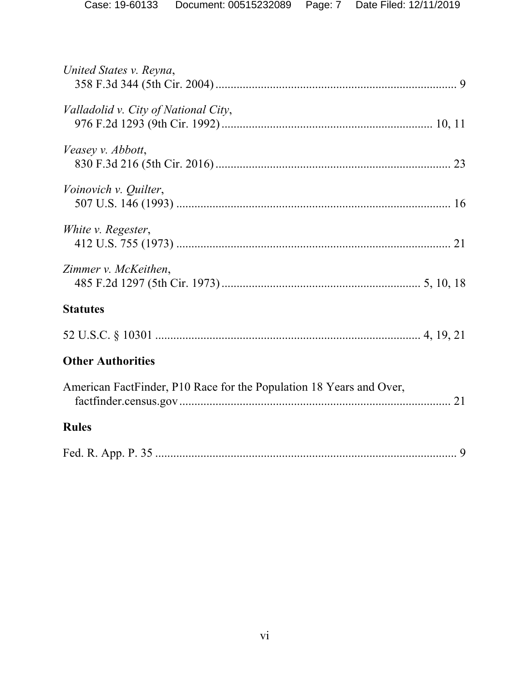| United States v. Reyna,                                             |
|---------------------------------------------------------------------|
| Valladolid v. City of National City,                                |
| Veasey v. Abbott,                                                   |
| Voinovich v. Quilter,                                               |
| White v. Regester,                                                  |
| Zimmer v. McKeithen,                                                |
| <b>Statutes</b>                                                     |
|                                                                     |
| <b>Other Authorities</b>                                            |
| American FactFinder, P10 Race for the Population 18 Years and Over, |
| <b>Rules</b>                                                        |
|                                                                     |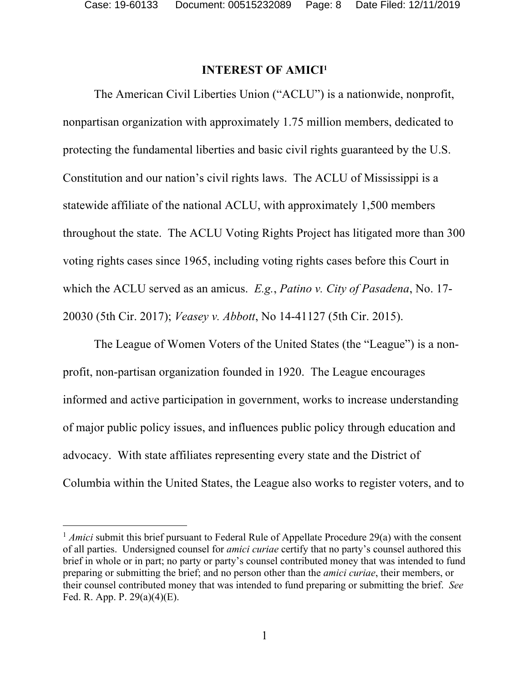### **INTEREST OF AMICI1**

The American Civil Liberties Union ("ACLU") is a nationwide, nonprofit, nonpartisan organization with approximately 1.75 million members, dedicated to protecting the fundamental liberties and basic civil rights guaranteed by the U.S. Constitution and our nation's civil rights laws. The ACLU of Mississippi is a statewide affiliate of the national ACLU, with approximately 1,500 members throughout the state. The ACLU Voting Rights Project has litigated more than 300 voting rights cases since 1965, including voting rights cases before this Court in which the ACLU served as an amicus. *E.g.*, *Patino v. City of Pasadena*, No. 17- 20030 (5th Cir. 2017); *Veasey v. Abbott*, No 14-41127 (5th Cir. 2015).

The League of Women Voters of the United States (the "League") is a nonprofit, non-partisan organization founded in 1920. The League encourages informed and active participation in government, works to increase understanding of major public policy issues, and influences public policy through education and advocacy. With state affiliates representing every state and the District of Columbia within the United States, the League also works to register voters, and to

<sup>&</sup>lt;sup>1</sup> *Amici* submit this brief pursuant to Federal Rule of Appellate Procedure 29(a) with the consent of all parties. Undersigned counsel for *amici curiae* certify that no party's counsel authored this brief in whole or in part; no party or party's counsel contributed money that was intended to fund preparing or submitting the brief; and no person other than the *amici curiae*, their members, or their counsel contributed money that was intended to fund preparing or submitting the brief. *See* Fed. R. App. P. 29(a)(4)(E).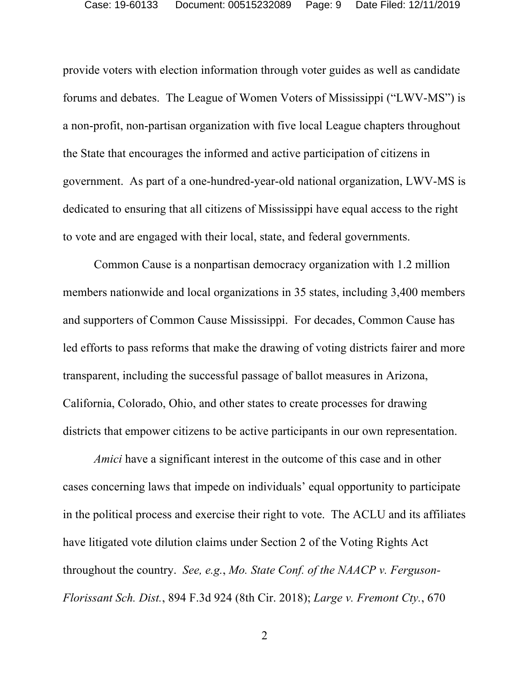provide voters with election information through voter guides as well as candidate forums and debates. The League of Women Voters of Mississippi ("LWV-MS") is a non-profit, non-partisan organization with five local League chapters throughout the State that encourages the informed and active participation of citizens in government. As part of a one-hundred-year-old national organization, LWV-MS is dedicated to ensuring that all citizens of Mississippi have equal access to the right to vote and are engaged with their local, state, and federal governments.

Common Cause is a nonpartisan democracy organization with 1.2 million members nationwide and local organizations in 35 states, including 3,400 members and supporters of Common Cause Mississippi. For decades, Common Cause has led efforts to pass reforms that make the drawing of voting districts fairer and more transparent, including the successful passage of ballot measures in Arizona, California, Colorado, Ohio, and other states to create processes for drawing districts that empower citizens to be active participants in our own representation.

*Amici* have a significant interest in the outcome of this case and in other cases concerning laws that impede on individuals' equal opportunity to participate in the political process and exercise their right to vote. The ACLU and its affiliates have litigated vote dilution claims under Section 2 of the Voting Rights Act throughout the country. *See, e.g.*, *Mo. State Conf. of the NAACP v. Ferguson-Florissant Sch. Dist.*, 894 F.3d 924 (8th Cir. 2018); *Large v. Fremont Cty.*, 670

2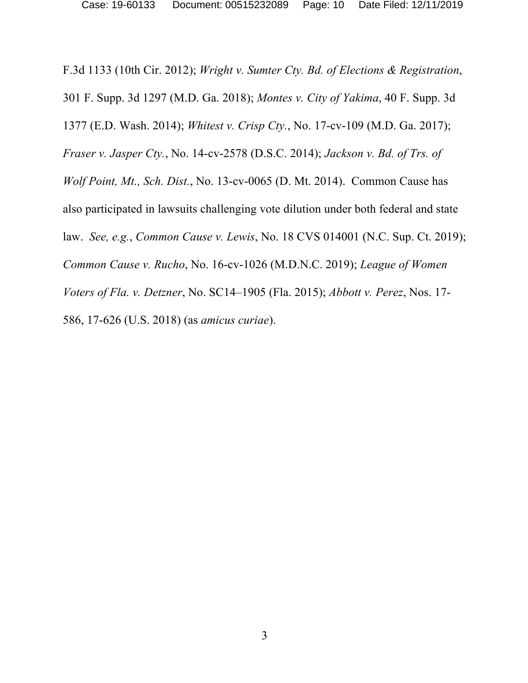F.3d 1133 (10th Cir. 2012); *Wright v. Sumter Cty. Bd. of Elections & Registration*, 301 F. Supp. 3d 1297 (M.D. Ga. 2018); *Montes v. City of Yakima*, 40 F. Supp. 3d 1377 (E.D. Wash. 2014); *Whitest v. Crisp Cty.*, No. 17-cv-109 (M.D. Ga. 2017); *Fraser v. Jasper Cty.*, No. 14-cv-2578 (D.S.C. 2014); *Jackson v. Bd. of Trs. of Wolf Point, Mt., Sch. Dist.*, No. 13-cv-0065 (D. Mt. 2014). Common Cause has also participated in lawsuits challenging vote dilution under both federal and state law. *See, e.g.*, *Common Cause v. Lewis*, No. 18 CVS 014001 (N.C. Sup. Ct. 2019); *Common Cause v. Rucho*, No. 16-cv-1026 (M.D.N.C. 2019); *League of Women Voters of Fla. v. Detzner*, No. SC14–1905 (Fla. 2015); *Abbott v. Perez*, Nos. 17- 586, 17-626 (U.S. 2018) (as *amicus curiae*).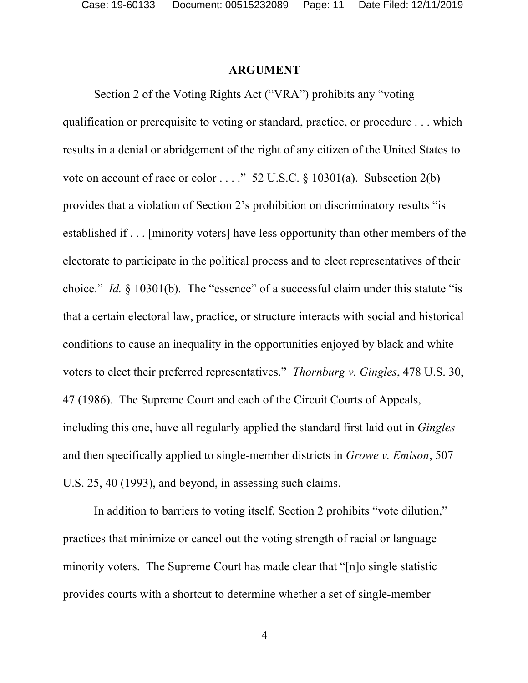#### **ARGUMENT**

Section 2 of the Voting Rights Act ("VRA") prohibits any "voting qualification or prerequisite to voting or standard, practice, or procedure . . . which results in a denial or abridgement of the right of any citizen of the United States to vote on account of race or color . . . ." 52 U.S.C.  $\S$  10301(a). Subsection 2(b) provides that a violation of Section 2's prohibition on discriminatory results "is established if . . . [minority voters] have less opportunity than other members of the electorate to participate in the political process and to elect representatives of their choice." *Id.* § 10301(b). The "essence" of a successful claim under this statute "is that a certain electoral law, practice, or structure interacts with social and historical conditions to cause an inequality in the opportunities enjoyed by black and white voters to elect their preferred representatives." *Thornburg v. Gingles*, 478 U.S. 30, 47 (1986). The Supreme Court and each of the Circuit Courts of Appeals, including this one, have all regularly applied the standard first laid out in *Gingles* and then specifically applied to single-member districts in *Growe v. Emison*, 507 U.S. 25, 40 (1993), and beyond, in assessing such claims.

In addition to barriers to voting itself, Section 2 prohibits "vote dilution," practices that minimize or cancel out the voting strength of racial or language minority voters. The Supreme Court has made clear that "[n]o single statistic provides courts with a shortcut to determine whether a set of single-member

4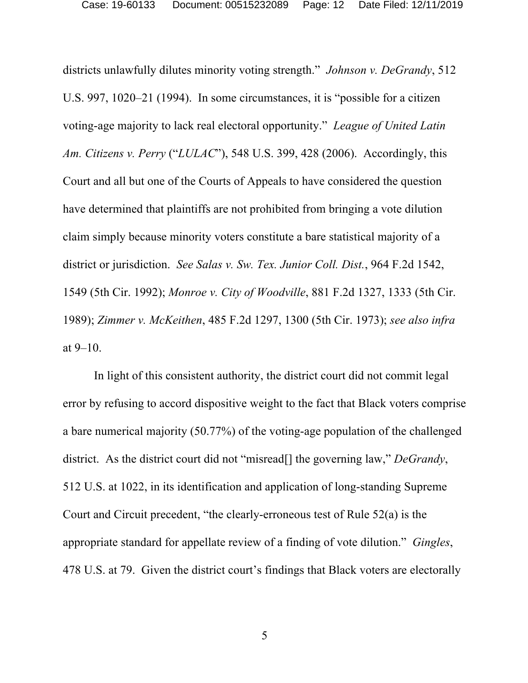districts unlawfully dilutes minority voting strength." *Johnson v. DeGrandy*, 512 U.S. 997, 1020–21 (1994). In some circumstances, it is "possible for a citizen voting-age majority to lack real electoral opportunity." *League of United Latin Am. Citizens v. Perry* ("*LULAC*"), 548 U.S. 399, 428 (2006). Accordingly, this Court and all but one of the Courts of Appeals to have considered the question have determined that plaintiffs are not prohibited from bringing a vote dilution claim simply because minority voters constitute a bare statistical majority of a district or jurisdiction. *See Salas v. Sw. Tex. Junior Coll. Dist.*, 964 F.2d 1542, 1549 (5th Cir. 1992); *Monroe v. City of Woodville*, 881 F.2d 1327, 1333 (5th Cir. 1989); *Zimmer v. McKeithen*, 485 F.2d 1297, 1300 (5th Cir. 1973); *see also infra* at 9–10.

In light of this consistent authority, the district court did not commit legal error by refusing to accord dispositive weight to the fact that Black voters comprise a bare numerical majority (50.77%) of the voting-age population of the challenged district. As the district court did not "misread[] the governing law," *DeGrandy*, 512 U.S. at 1022, in its identification and application of long-standing Supreme Court and Circuit precedent, "the clearly-erroneous test of Rule 52(a) is the appropriate standard for appellate review of a finding of vote dilution." *Gingles*, 478 U.S. at 79. Given the district court's findings that Black voters are electorally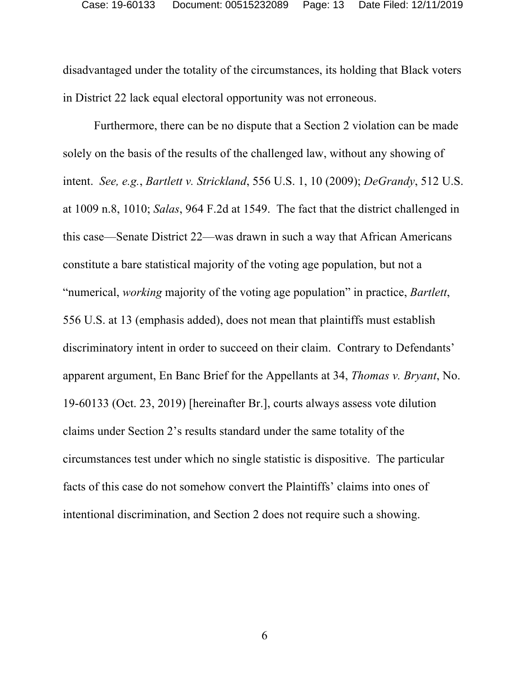disadvantaged under the totality of the circumstances, its holding that Black voters in District 22 lack equal electoral opportunity was not erroneous.

Furthermore, there can be no dispute that a Section 2 violation can be made solely on the basis of the results of the challenged law, without any showing of intent. *See, e.g.*, *Bartlett v. Strickland*, 556 U.S. 1, 10 (2009); *DeGrandy*, 512 U.S. at 1009 n.8, 1010; *Salas*, 964 F.2d at 1549. The fact that the district challenged in this case—Senate District 22—was drawn in such a way that African Americans constitute a bare statistical majority of the voting age population, but not a "numerical, *working* majority of the voting age population" in practice, *Bartlett*, 556 U.S. at 13 (emphasis added), does not mean that plaintiffs must establish discriminatory intent in order to succeed on their claim. Contrary to Defendants' apparent argument, En Banc Brief for the Appellants at 34, *Thomas v. Bryant*, No. 19-60133 (Oct. 23, 2019) [hereinafter Br.], courts always assess vote dilution claims under Section 2's results standard under the same totality of the circumstances test under which no single statistic is dispositive. The particular facts of this case do not somehow convert the Plaintiffs' claims into ones of intentional discrimination, and Section 2 does not require such a showing.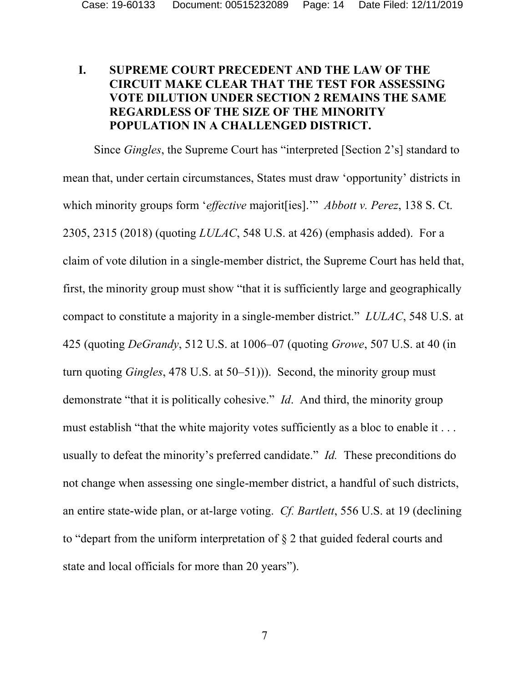### **I. SUPREME COURT PRECEDENT AND THE LAW OF THE CIRCUIT MAKE CLEAR THAT THE TEST FOR ASSESSING VOTE DILUTION UNDER SECTION 2 REMAINS THE SAME REGARDLESS OF THE SIZE OF THE MINORITY POPULATION IN A CHALLENGED DISTRICT.**

Since *Gingles*, the Supreme Court has "interpreted [Section 2's] standard to mean that, under certain circumstances, States must draw 'opportunity' districts in which minority groups form '*effective* majorit[ies].'" *Abbott v. Perez*, 138 S. Ct. 2305, 2315 (2018) (quoting *LULAC*, 548 U.S. at 426) (emphasis added). For a claim of vote dilution in a single-member district, the Supreme Court has held that, first, the minority group must show "that it is sufficiently large and geographically compact to constitute a majority in a single-member district." *LULAC*, 548 U.S. at 425 (quoting *DeGrandy*, 512 U.S. at 1006–07 (quoting *Growe*, 507 U.S. at 40 (in turn quoting *Gingles*, 478 U.S. at 50–51))). Second, the minority group must demonstrate "that it is politically cohesive." *Id*. And third, the minority group must establish "that the white majority votes sufficiently as a bloc to enable it . . . usually to defeat the minority's preferred candidate." *Id.* These preconditions do not change when assessing one single-member district, a handful of such districts, an entire state-wide plan, or at-large voting. *Cf. Bartlett*, 556 U.S. at 19 (declining to "depart from the uniform interpretation of § 2 that guided federal courts and state and local officials for more than 20 years").

7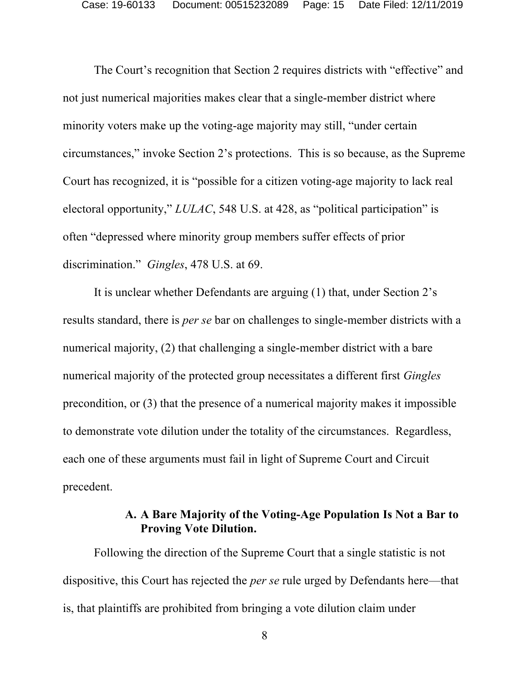The Court's recognition that Section 2 requires districts with "effective" and not just numerical majorities makes clear that a single-member district where minority voters make up the voting-age majority may still, "under certain circumstances," invoke Section 2's protections. This is so because, as the Supreme Court has recognized, it is "possible for a citizen voting-age majority to lack real electoral opportunity," *LULAC*, 548 U.S. at 428, as "political participation" is often "depressed where minority group members suffer effects of prior discrimination." *Gingles*, 478 U.S. at 69.

It is unclear whether Defendants are arguing (1) that, under Section 2's results standard, there is *per se* bar on challenges to single-member districts with a numerical majority, (2) that challenging a single-member district with a bare numerical majority of the protected group necessitates a different first *Gingles* precondition, or (3) that the presence of a numerical majority makes it impossible to demonstrate vote dilution under the totality of the circumstances. Regardless, each one of these arguments must fail in light of Supreme Court and Circuit precedent.

### **A. A Bare Majority of the Voting-Age Population Is Not a Bar to Proving Vote Dilution.**

Following the direction of the Supreme Court that a single statistic is not dispositive, this Court has rejected the *per se* rule urged by Defendants here—that is, that plaintiffs are prohibited from bringing a vote dilution claim under

8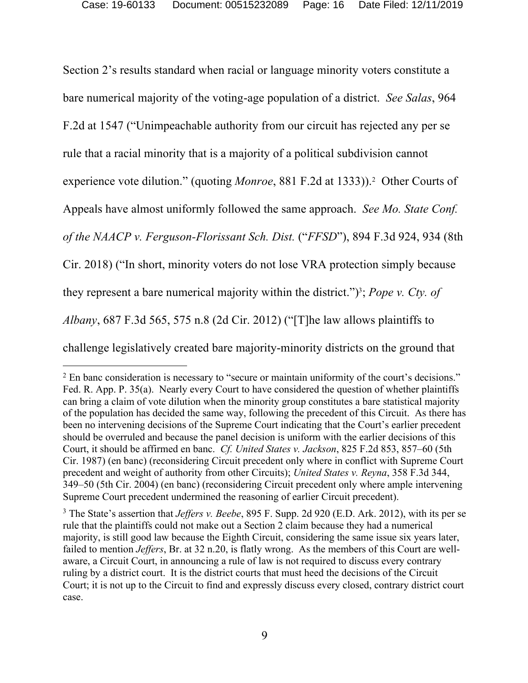Section 2's results standard when racial or language minority voters constitute a bare numerical majority of the voting-age population of a district. *See Salas*, 964 F.2d at 1547 ("Unimpeachable authority from our circuit has rejected any per se rule that a racial minority that is a majority of a political subdivision cannot experience vote dilution." (quoting *Monroe*, 881 F.2d at 1333)). <sup>2</sup> Other Courts of Appeals have almost uniformly followed the same approach. *See Mo. State Conf. of the NAACP v. Ferguson-Florissant Sch. Dist.* ("*FFSD*"), 894 F.3d 924, 934 (8th Cir. 2018) ("In short, minority voters do not lose VRA protection simply because they represent a bare numerical majority within the district.")3; *Pope v. Cty. of Albany*, 687 F.3d 565, 575 n.8 (2d Cir. 2012) ("[T]he law allows plaintiffs to challenge legislatively created bare majority-minority districts on the ground that

<sup>&</sup>lt;sup>2</sup> En banc consideration is necessary to "secure or maintain uniformity of the court's decisions." Fed. R. App. P. 35(a). Nearly every Court to have considered the question of whether plaintiffs can bring a claim of vote dilution when the minority group constitutes a bare statistical majority of the population has decided the same way, following the precedent of this Circuit. As there has been no intervening decisions of the Supreme Court indicating that the Court's earlier precedent should be overruled and because the panel decision is uniform with the earlier decisions of this Court, it should be affirmed en banc. *Cf. United States v. Jackson*, 825 F.2d 853, 857–60 (5th Cir. 1987) (en banc) (reconsidering Circuit precedent only where in conflict with Supreme Court precedent and weight of authority from other Circuits); *United States v. Reyna*, 358 F.3d 344, 349–50 (5th Cir. 2004) (en banc) (reconsidering Circuit precedent only where ample intervening Supreme Court precedent undermined the reasoning of earlier Circuit precedent).

<sup>3</sup> The State's assertion that *Jeffers v. Beebe*, 895 F. Supp. 2d 920 (E.D. Ark. 2012), with its per se rule that the plaintiffs could not make out a Section 2 claim because they had a numerical majority, is still good law because the Eighth Circuit, considering the same issue six years later, failed to mention *Jeffers*, Br. at 32 n.20, is flatly wrong. As the members of this Court are wellaware, a Circuit Court, in announcing a rule of law is not required to discuss every contrary ruling by a district court. It is the district courts that must heed the decisions of the Circuit Court; it is not up to the Circuit to find and expressly discuss every closed, contrary district court case.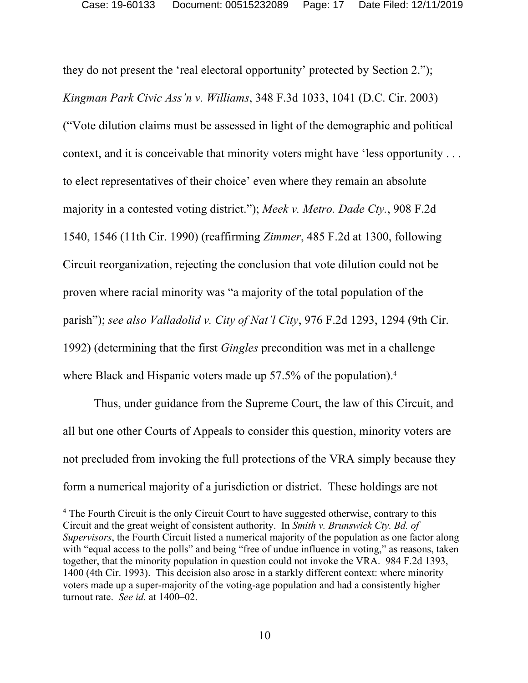they do not present the 'real electoral opportunity' protected by Section 2."); *Kingman Park Civic Ass'n v. Williams*, 348 F.3d 1033, 1041 (D.C. Cir. 2003) ("Vote dilution claims must be assessed in light of the demographic and political context, and it is conceivable that minority voters might have 'less opportunity . . . to elect representatives of their choice' even where they remain an absolute majority in a contested voting district."); *Meek v. Metro. Dade Cty.*, 908 F.2d 1540, 1546 (11th Cir. 1990) (reaffirming *Zimmer*, 485 F.2d at 1300, following Circuit reorganization, rejecting the conclusion that vote dilution could not be proven where racial minority was "a majority of the total population of the parish"); *see also Valladolid v. City of Nat'l City*, 976 F.2d 1293, 1294 (9th Cir. 1992) (determining that the first *Gingles* precondition was met in a challenge where Black and Hispanic voters made up 57.5% of the population).<sup>4</sup>

Thus, under guidance from the Supreme Court, the law of this Circuit, and all but one other Courts of Appeals to consider this question, minority voters are not precluded from invoking the full protections of the VRA simply because they form a numerical majority of a jurisdiction or district. These holdings are not

<sup>&</sup>lt;sup>4</sup> The Fourth Circuit is the only Circuit Court to have suggested otherwise, contrary to this Circuit and the great weight of consistent authority. In *Smith v. Brunswick Cty. Bd. of Supervisors*, the Fourth Circuit listed a numerical majority of the population as one factor along with "equal access to the polls" and being "free of undue influence in voting," as reasons, taken together, that the minority population in question could not invoke the VRA. 984 F.2d 1393, 1400 (4th Cir. 1993). This decision also arose in a starkly different context: where minority voters made up a super-majority of the voting-age population and had a consistently higher turnout rate. *See id.* at 1400–02.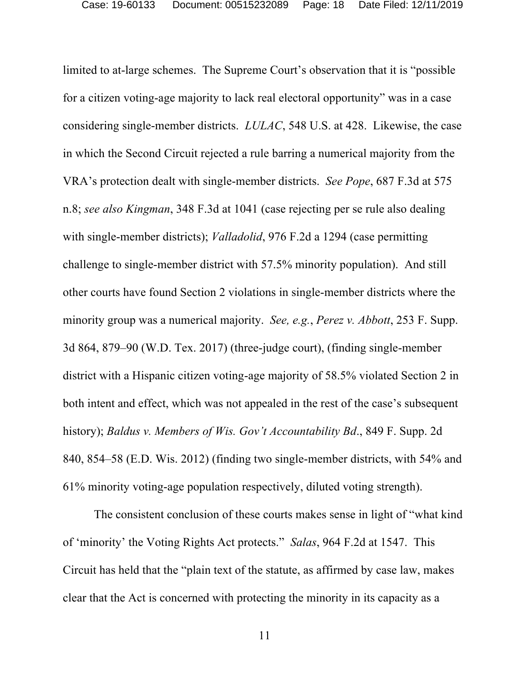limited to at-large schemes. The Supreme Court's observation that it is "possible for a citizen voting-age majority to lack real electoral opportunity" was in a case considering single-member districts. *LULAC*, 548 U.S. at 428. Likewise, the case in which the Second Circuit rejected a rule barring a numerical majority from the VRA's protection dealt with single-member districts. *See Pope*, 687 F.3d at 575 n.8; *see also Kingman*, 348 F.3d at 1041 (case rejecting per se rule also dealing with single-member districts); *Valladolid*, 976 F.2d a 1294 (case permitting challenge to single-member district with 57.5% minority population). And still other courts have found Section 2 violations in single-member districts where the minority group was a numerical majority. *See, e.g.*, *Perez v. Abbott*, 253 F. Supp. 3d 864, 879–90 (W.D. Tex. 2017) (three-judge court), (finding single-member district with a Hispanic citizen voting-age majority of 58.5% violated Section 2 in both intent and effect, which was not appealed in the rest of the case's subsequent history); *Baldus v. Members of Wis. Gov't Accountability Bd*., 849 F. Supp. 2d 840, 854–58 (E.D. Wis. 2012) (finding two single-member districts, with 54% and 61% minority voting-age population respectively, diluted voting strength).

The consistent conclusion of these courts makes sense in light of "what kind of 'minority' the Voting Rights Act protects." *Salas*, 964 F.2d at 1547. This Circuit has held that the "plain text of the statute, as affirmed by case law, makes clear that the Act is concerned with protecting the minority in its capacity as a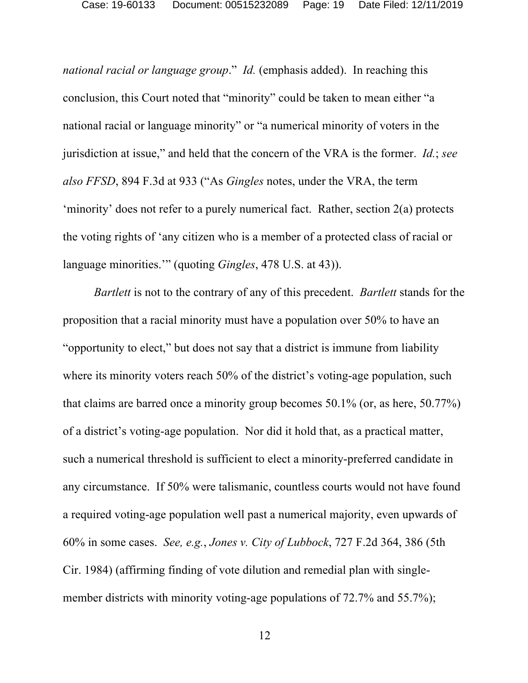*national racial or language group*." *Id.* (emphasis added). In reaching this conclusion, this Court noted that "minority" could be taken to mean either "a national racial or language minority" or "a numerical minority of voters in the jurisdiction at issue," and held that the concern of the VRA is the former. *Id.*; *see also FFSD*, 894 F.3d at 933 ("As *Gingles* notes, under the VRA, the term 'minority' does not refer to a purely numerical fact. Rather, section 2(a) protects the voting rights of 'any citizen who is a member of a protected class of racial or language minorities.'" (quoting *Gingles*, 478 U.S. at 43)).

*Bartlett* is not to the contrary of any of this precedent. *Bartlett* stands for the proposition that a racial minority must have a population over 50% to have an "opportunity to elect," but does not say that a district is immune from liability where its minority voters reach 50% of the district's voting-age population, such that claims are barred once a minority group becomes 50.1% (or, as here, 50.77%) of a district's voting-age population. Nor did it hold that, as a practical matter, such a numerical threshold is sufficient to elect a minority-preferred candidate in any circumstance. If 50% were talismanic, countless courts would not have found a required voting-age population well past a numerical majority, even upwards of 60% in some cases. *See, e.g.*, *Jones v. City of Lubbock*, 727 F.2d 364, 386 (5th Cir. 1984) (affirming finding of vote dilution and remedial plan with singlemember districts with minority voting-age populations of 72.7% and 55.7%);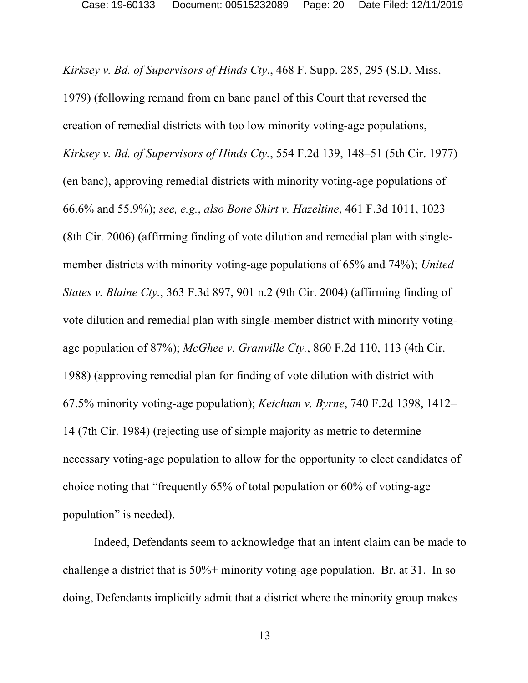*Kirksey v. Bd. of Supervisors of Hinds Cty*., 468 F. Supp. 285, 295 (S.D. Miss. 1979) (following remand from en banc panel of this Court that reversed the creation of remedial districts with too low minority voting-age populations, *Kirksey v. Bd. of Supervisors of Hinds Cty.*, 554 F.2d 139, 148–51 (5th Cir. 1977) (en banc), approving remedial districts with minority voting-age populations of 66.6% and 55.9%); *see, e.g.*, *also Bone Shirt v. Hazeltine*, 461 F.3d 1011, 1023 (8th Cir. 2006) (affirming finding of vote dilution and remedial plan with singlemember districts with minority voting-age populations of 65% and 74%); *United States v. Blaine Cty.*, 363 F.3d 897, 901 n.2 (9th Cir. 2004) (affirming finding of vote dilution and remedial plan with single-member district with minority votingage population of 87%); *McGhee v. Granville Cty.*, 860 F.2d 110, 113 (4th Cir. 1988) (approving remedial plan for finding of vote dilution with district with 67.5% minority voting-age population); *Ketchum v. Byrne*, 740 F.2d 1398, 1412– 14 (7th Cir. 1984) (rejecting use of simple majority as metric to determine necessary voting-age population to allow for the opportunity to elect candidates of choice noting that "frequently 65% of total population or 60% of voting-age population" is needed).

Indeed, Defendants seem to acknowledge that an intent claim can be made to challenge a district that is 50%+ minority voting-age population. Br. at 31. In so doing, Defendants implicitly admit that a district where the minority group makes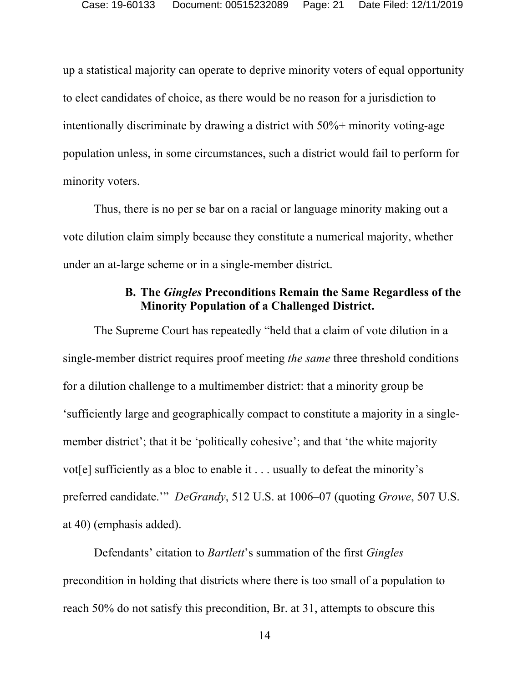up a statistical majority can operate to deprive minority voters of equal opportunity to elect candidates of choice, as there would be no reason for a jurisdiction to intentionally discriminate by drawing a district with 50%+ minority voting-age population unless, in some circumstances, such a district would fail to perform for minority voters.

Thus, there is no per se bar on a racial or language minority making out a vote dilution claim simply because they constitute a numerical majority, whether under an at-large scheme or in a single-member district.

### **B. The** *Gingles* **Preconditions Remain the Same Regardless of the Minority Population of a Challenged District.**

The Supreme Court has repeatedly "held that a claim of vote dilution in a single-member district requires proof meeting *the same* three threshold conditions for a dilution challenge to a multimember district: that a minority group be 'sufficiently large and geographically compact to constitute a majority in a singlemember district'; that it be 'politically cohesive'; and that 'the white majority vot[e] sufficiently as a bloc to enable it . . . usually to defeat the minority's preferred candidate.'" *DeGrandy*, 512 U.S. at 1006–07 (quoting *Growe*, 507 U.S. at 40) (emphasis added).

Defendants' citation to *Bartlett*'s summation of the first *Gingles* precondition in holding that districts where there is too small of a population to reach 50% do not satisfy this precondition, Br. at 31, attempts to obscure this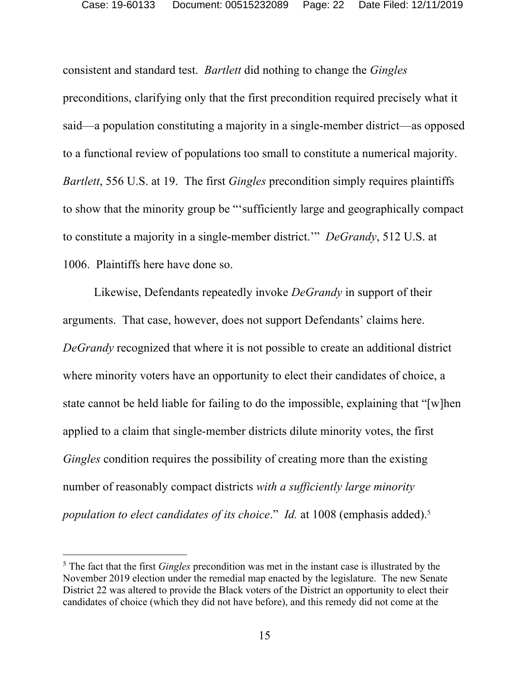consistent and standard test. *Bartlett* did nothing to change the *Gingles*  preconditions, clarifying only that the first precondition required precisely what it said—a population constituting a majority in a single-member district—as opposed to a functional review of populations too small to constitute a numerical majority. *Bartlett*, 556 U.S. at 19. The first *Gingles* precondition simply requires plaintiffs to show that the minority group be "'sufficiently large and geographically compact to constitute a majority in a single-member district.'" *DeGrandy*, 512 U.S. at 1006. Plaintiffs here have done so.

Likewise, Defendants repeatedly invoke *DeGrandy* in support of their arguments. That case, however, does not support Defendants' claims here. *DeGrandy* recognized that where it is not possible to create an additional district where minority voters have an opportunity to elect their candidates of choice, a state cannot be held liable for failing to do the impossible, explaining that "[w]hen applied to a claim that single-member districts dilute minority votes, the first *Gingles* condition requires the possibility of creating more than the existing number of reasonably compact districts *with a sufficiently large minority population to elect candidates of its choice*." *Id.* at 1008 (emphasis added). 5

<sup>5</sup> The fact that the first *Gingles* precondition was met in the instant case is illustrated by the November 2019 election under the remedial map enacted by the legislature. The new Senate District 22 was altered to provide the Black voters of the District an opportunity to elect their candidates of choice (which they did not have before), and this remedy did not come at the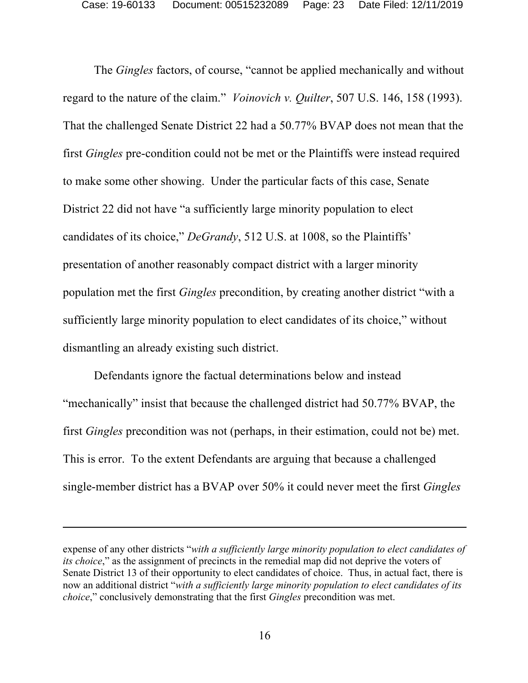The *Gingles* factors, of course, "cannot be applied mechanically and without regard to the nature of the claim." *Voinovich v. Quilter*, 507 U.S. 146, 158 (1993). That the challenged Senate District 22 had a 50.77% BVAP does not mean that the first *Gingles* pre-condition could not be met or the Plaintiffs were instead required to make some other showing. Under the particular facts of this case, Senate District 22 did not have "a sufficiently large minority population to elect candidates of its choice," *DeGrandy*, 512 U.S. at 1008, so the Plaintiffs' presentation of another reasonably compact district with a larger minority population met the first *Gingles* precondition, by creating another district "with a sufficiently large minority population to elect candidates of its choice," without dismantling an already existing such district.

Defendants ignore the factual determinations below and instead "mechanically" insist that because the challenged district had 50.77% BVAP, the first *Gingles* precondition was not (perhaps, in their estimation, could not be) met. This is error. To the extent Defendants are arguing that because a challenged single-member district has a BVAP over 50% it could never meet the first *Gingles* 

expense of any other districts "*with a sufficiently large minority population to elect candidates of its choice*," as the assignment of precincts in the remedial map did not deprive the voters of Senate District 13 of their opportunity to elect candidates of choice. Thus, in actual fact, there is now an additional district "*with a sufficiently large minority population to elect candidates of its choice*," conclusively demonstrating that the first *Gingles* precondition was met.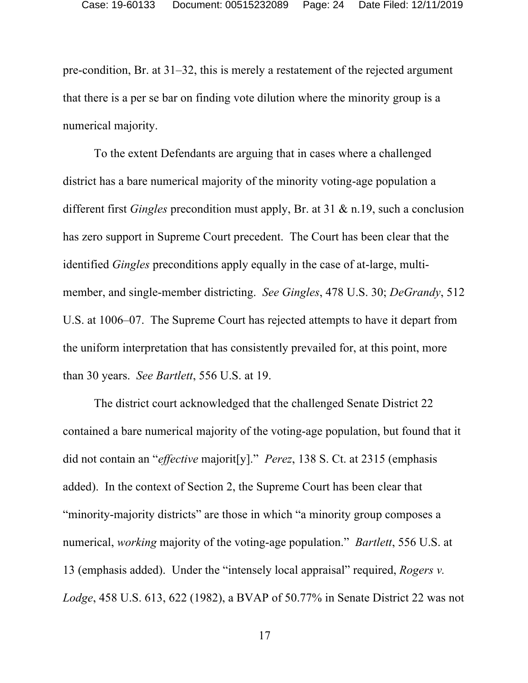pre-condition, Br. at 31–32, this is merely a restatement of the rejected argument that there is a per se bar on finding vote dilution where the minority group is a numerical majority.

To the extent Defendants are arguing that in cases where a challenged district has a bare numerical majority of the minority voting-age population a different first *Gingles* precondition must apply, Br. at 31 & n.19, such a conclusion has zero support in Supreme Court precedent. The Court has been clear that the identified *Gingles* preconditions apply equally in the case of at-large, multimember, and single-member districting. *See Gingles*, 478 U.S. 30; *DeGrandy*, 512 U.S. at 1006–07. The Supreme Court has rejected attempts to have it depart from the uniform interpretation that has consistently prevailed for, at this point, more than 30 years. *See Bartlett*, 556 U.S. at 19.

The district court acknowledged that the challenged Senate District 22 contained a bare numerical majority of the voting-age population, but found that it did not contain an "*effective* majorit[y]." *Perez*, 138 S. Ct. at 2315 (emphasis added). In the context of Section 2, the Supreme Court has been clear that "minority-majority districts" are those in which "a minority group composes a numerical, *working* majority of the voting-age population." *Bartlett*, 556 U.S. at 13 (emphasis added). Under the "intensely local appraisal" required, *Rogers v. Lodge*, 458 U.S. 613, 622 (1982), a BVAP of 50.77% in Senate District 22 was not

17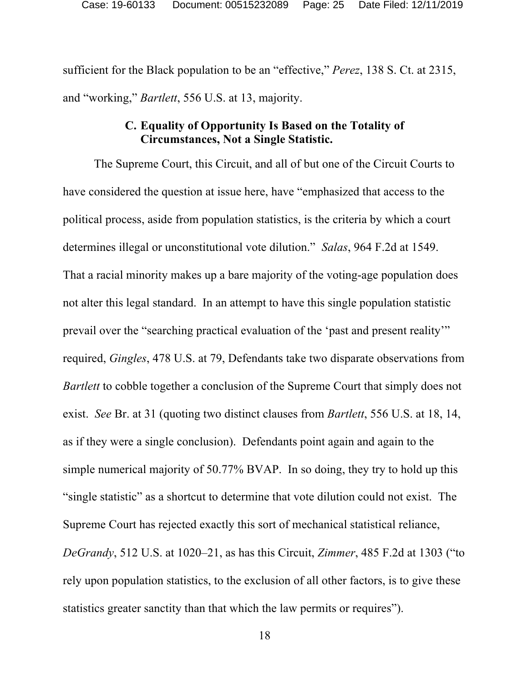sufficient for the Black population to be an "effective," *Perez*, 138 S. Ct. at 2315, and "working," *Bartlett*, 556 U.S. at 13, majority.

### **C. Equality of Opportunity Is Based on the Totality of Circumstances, Not a Single Statistic.**

The Supreme Court, this Circuit, and all of but one of the Circuit Courts to have considered the question at issue here, have "emphasized that access to the political process, aside from population statistics, is the criteria by which a court determines illegal or unconstitutional vote dilution." *Salas*, 964 F.2d at 1549. That a racial minority makes up a bare majority of the voting-age population does not alter this legal standard. In an attempt to have this single population statistic prevail over the "searching practical evaluation of the 'past and present reality'" required, *Gingles*, 478 U.S. at 79, Defendants take two disparate observations from *Bartlett* to cobble together a conclusion of the Supreme Court that simply does not exist. *See* Br. at 31 (quoting two distinct clauses from *Bartlett*, 556 U.S. at 18, 14, as if they were a single conclusion). Defendants point again and again to the simple numerical majority of 50.77% BVAP. In so doing, they try to hold up this "single statistic" as a shortcut to determine that vote dilution could not exist. The Supreme Court has rejected exactly this sort of mechanical statistical reliance, *DeGrandy*, 512 U.S. at 1020–21, as has this Circuit, *Zimmer*, 485 F.2d at 1303 ("to rely upon population statistics, to the exclusion of all other factors, is to give these statistics greater sanctity than that which the law permits or requires").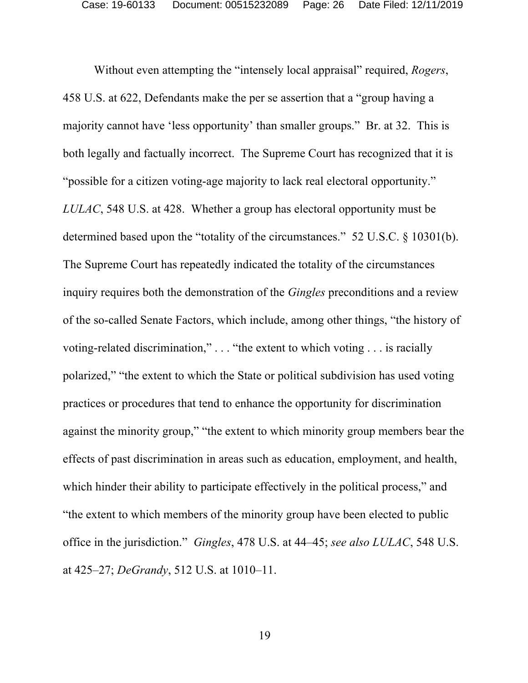Without even attempting the "intensely local appraisal" required, *Rogers*, 458 U.S. at 622, Defendants make the per se assertion that a "group having a majority cannot have 'less opportunity' than smaller groups." Br. at 32. This is both legally and factually incorrect. The Supreme Court has recognized that it is "possible for a citizen voting-age majority to lack real electoral opportunity." *LULAC*, 548 U.S. at 428. Whether a group has electoral opportunity must be determined based upon the "totality of the circumstances." 52 U.S.C. § 10301(b). The Supreme Court has repeatedly indicated the totality of the circumstances inquiry requires both the demonstration of the *Gingles* preconditions and a review of the so-called Senate Factors, which include, among other things, "the history of voting-related discrimination," . . . "the extent to which voting . . . is racially polarized," "the extent to which the State or political subdivision has used voting practices or procedures that tend to enhance the opportunity for discrimination against the minority group," "the extent to which minority group members bear the effects of past discrimination in areas such as education, employment, and health, which hinder their ability to participate effectively in the political process," and "the extent to which members of the minority group have been elected to public office in the jurisdiction." *Gingles*, 478 U.S. at 44–45; *see also LULAC*, 548 U.S. at 425–27; *DeGrandy*, 512 U.S. at 1010–11.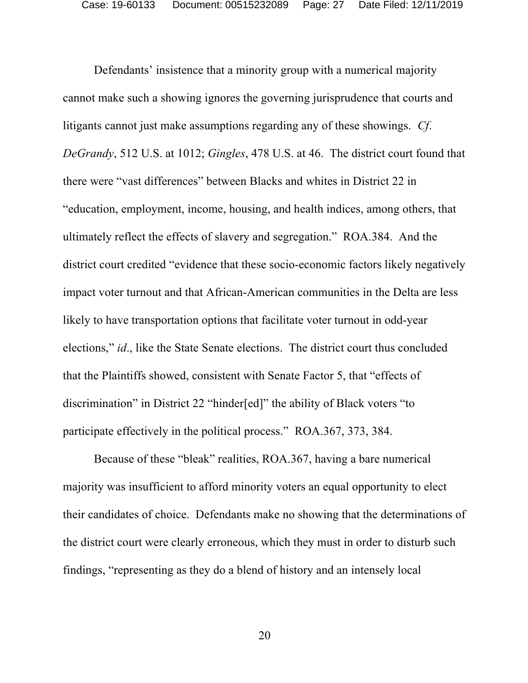Defendants' insistence that a minority group with a numerical majority cannot make such a showing ignores the governing jurisprudence that courts and litigants cannot just make assumptions regarding any of these showings. *Cf*. *DeGrandy*, 512 U.S. at 1012; *Gingles*, 478 U.S. at 46. The district court found that there were "vast differences" between Blacks and whites in District 22 in "education, employment, income, housing, and health indices, among others, that ultimately reflect the effects of slavery and segregation." ROA.384. And the district court credited "evidence that these socio-economic factors likely negatively impact voter turnout and that African-American communities in the Delta are less likely to have transportation options that facilitate voter turnout in odd-year elections," *id*., like the State Senate elections. The district court thus concluded that the Plaintiffs showed, consistent with Senate Factor 5, that "effects of discrimination" in District 22 "hinder[ed]" the ability of Black voters "to participate effectively in the political process." ROA.367, 373, 384.

Because of these "bleak" realities, ROA.367, having a bare numerical majority was insufficient to afford minority voters an equal opportunity to elect their candidates of choice. Defendants make no showing that the determinations of the district court were clearly erroneous, which they must in order to disturb such findings, "representing as they do a blend of history and an intensely local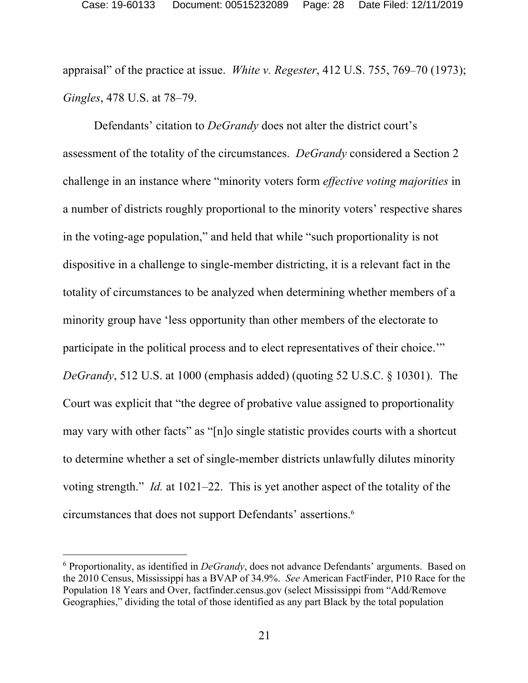appraisal" of the practice at issue. *White v. Regester*, 412 U.S. 755, 769–70 (1973); *Gingles*, 478 U.S. at 78–79.

Defendants' citation to *DeGrandy* does not alter the district court's assessment of the totality of the circumstances. *DeGrandy* considered a Section 2 challenge in an instance where "minority voters form *effective voting majorities* in a number of districts roughly proportional to the minority voters' respective shares in the voting-age population," and held that while "such proportionality is not dispositive in a challenge to single-member districting, it is a relevant fact in the totality of circumstances to be analyzed when determining whether members of a minority group have 'less opportunity than other members of the electorate to participate in the political process and to elect representatives of their choice.'" *DeGrandy*, 512 U.S. at 1000 (emphasis added) (quoting 52 U.S.C. § 10301). The Court was explicit that "the degree of probative value assigned to proportionality may vary with other facts" as "[n]o single statistic provides courts with a shortcut to determine whether a set of single-member districts unlawfully dilutes minority voting strength." *Id.* at 1021–22. This is yet another aspect of the totality of the circumstances that does not support Defendants' assertions.6

<sup>6</sup> Proportionality, as identified in *DeGrandy*, does not advance Defendants' arguments. Based on the 2010 Census, Mississippi has a BVAP of 34.9%. *See* American FactFinder, P10 Race for the Population 18 Years and Over, factfinder.census.gov (select Mississippi from "Add/Remove Geographies," dividing the total of those identified as any part Black by the total population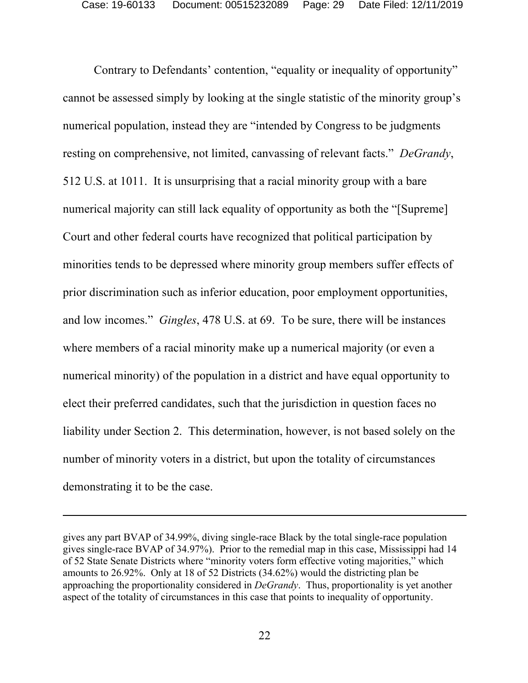Contrary to Defendants' contention, "equality or inequality of opportunity" cannot be assessed simply by looking at the single statistic of the minority group's numerical population, instead they are "intended by Congress to be judgments resting on comprehensive, not limited, canvassing of relevant facts." *DeGrandy*, 512 U.S. at 1011. It is unsurprising that a racial minority group with a bare numerical majority can still lack equality of opportunity as both the "[Supreme] Court and other federal courts have recognized that political participation by minorities tends to be depressed where minority group members suffer effects of prior discrimination such as inferior education, poor employment opportunities, and low incomes." *Gingles*, 478 U.S. at 69. To be sure, there will be instances where members of a racial minority make up a numerical majority (or even a numerical minority) of the population in a district and have equal opportunity to elect their preferred candidates, such that the jurisdiction in question faces no liability under Section 2. This determination, however, is not based solely on the number of minority voters in a district, but upon the totality of circumstances demonstrating it to be the case.

gives any part BVAP of 34.99%, diving single-race Black by the total single-race population gives single-race BVAP of 34.97%). Prior to the remedial map in this case, Mississippi had 14 of 52 State Senate Districts where "minority voters form effective voting majorities," which amounts to 26.92%. Only at 18 of 52 Districts (34.62%) would the districting plan be approaching the proportionality considered in *DeGrandy*. Thus, proportionality is yet another aspect of the totality of circumstances in this case that points to inequality of opportunity.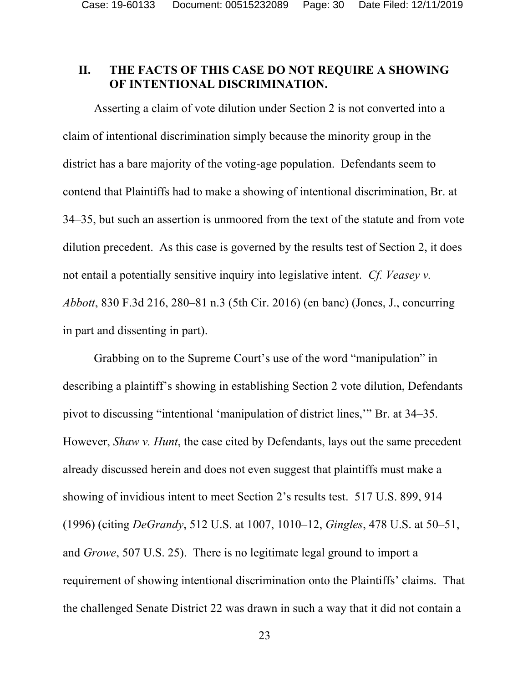Case: 19-60133 Document: 00515232089 Page: 30 Date Filed: 12/11/2019

### **II. THE FACTS OF THIS CASE DO NOT REQUIRE A SHOWING OF INTENTIONAL DISCRIMINATION.**

Asserting a claim of vote dilution under Section 2 is not converted into a claim of intentional discrimination simply because the minority group in the district has a bare majority of the voting-age population. Defendants seem to contend that Plaintiffs had to make a showing of intentional discrimination, Br. at 34–35, but such an assertion is unmoored from the text of the statute and from vote dilution precedent. As this case is governed by the results test of Section 2, it does not entail a potentially sensitive inquiry into legislative intent. *Cf. Veasey v. Abbott*, 830 F.3d 216, 280–81 n.3 (5th Cir. 2016) (en banc) (Jones, J., concurring in part and dissenting in part).

Grabbing on to the Supreme Court's use of the word "manipulation" in describing a plaintiff's showing in establishing Section 2 vote dilution, Defendants pivot to discussing "intentional 'manipulation of district lines,'" Br. at 34–35. However, *Shaw v. Hunt*, the case cited by Defendants, lays out the same precedent already discussed herein and does not even suggest that plaintiffs must make a showing of invidious intent to meet Section 2's results test. 517 U.S. 899, 914 (1996) (citing *DeGrandy*, 512 U.S. at 1007, 1010–12, *Gingles*, 478 U.S. at 50–51, and *Growe*, 507 U.S. 25). There is no legitimate legal ground to import a requirement of showing intentional discrimination onto the Plaintiffs' claims. That the challenged Senate District 22 was drawn in such a way that it did not contain a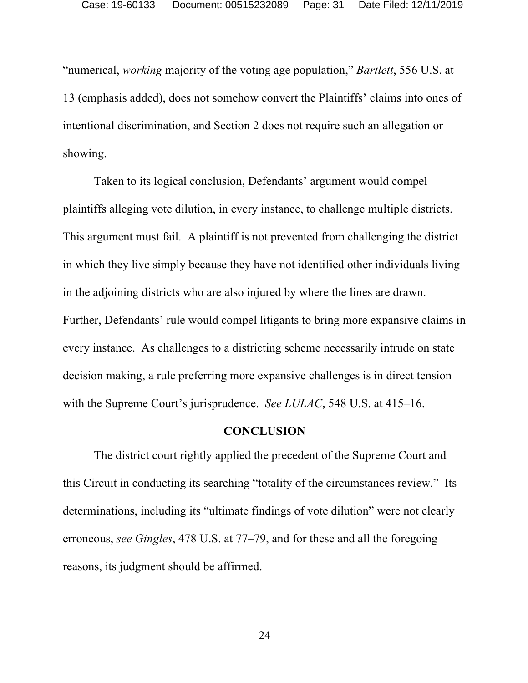"numerical, *working* majority of the voting age population," *Bartlett*, 556 U.S. at 13 (emphasis added), does not somehow convert the Plaintiffs' claims into ones of intentional discrimination, and Section 2 does not require such an allegation or showing.

Taken to its logical conclusion, Defendants' argument would compel plaintiffs alleging vote dilution, in every instance, to challenge multiple districts. This argument must fail. A plaintiff is not prevented from challenging the district in which they live simply because they have not identified other individuals living in the adjoining districts who are also injured by where the lines are drawn. Further, Defendants' rule would compel litigants to bring more expansive claims in every instance. As challenges to a districting scheme necessarily intrude on state decision making, a rule preferring more expansive challenges is in direct tension with the Supreme Court's jurisprudence. *See LULAC*, 548 U.S. at 415–16.

#### **CONCLUSION**

The district court rightly applied the precedent of the Supreme Court and this Circuit in conducting its searching "totality of the circumstances review." Its determinations, including its "ultimate findings of vote dilution" were not clearly erroneous, *see Gingles*, 478 U.S. at 77–79, and for these and all the foregoing reasons, its judgment should be affirmed.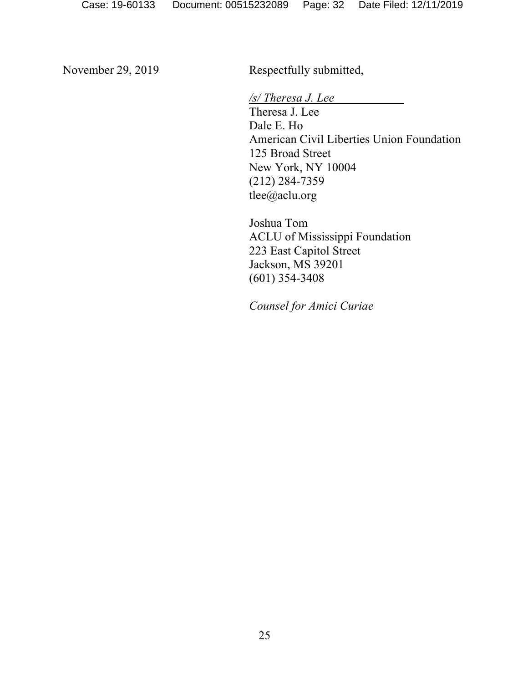November 29, 2019 Respectfully submitted,

*/s/ Theresa J. Lee*

Theresa J. Lee Dale E. Ho American Civil Liberties Union Foundation 125 Broad Street New York, NY 10004 (212) 284-7359 tlee@aclu.org

Joshua Tom ACLU of Mississippi Foundation 223 East Capitol Street Jackson, MS 39201 (601) 354-3408

*Counsel for Amici Curiae*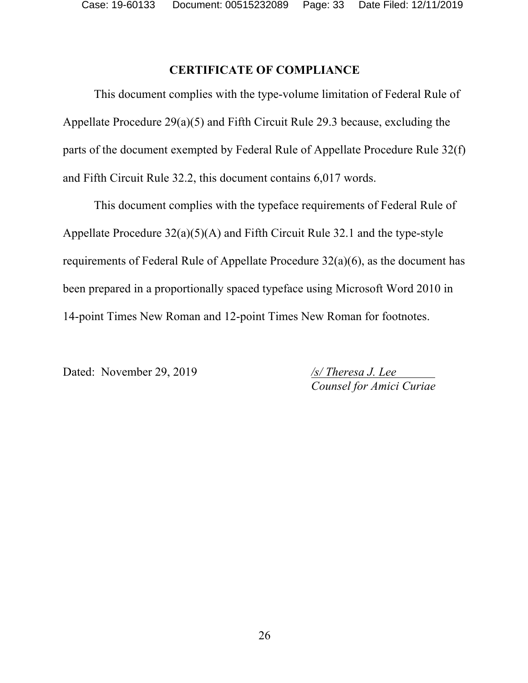#### **CERTIFICATE OF COMPLIANCE**

This document complies with the type-volume limitation of Federal Rule of Appellate Procedure 29(a)(5) and Fifth Circuit Rule 29.3 because, excluding the parts of the document exempted by Federal Rule of Appellate Procedure Rule 32(f) and Fifth Circuit Rule 32.2, this document contains 6,017 words.

This document complies with the typeface requirements of Federal Rule of Appellate Procedure 32(a)(5)(A) and Fifth Circuit Rule 32.1 and the type-style requirements of Federal Rule of Appellate Procedure 32(a)(6), as the document has been prepared in a proportionally spaced typeface using Microsoft Word 2010 in 14-point Times New Roman and 12-point Times New Roman for footnotes.

Dated: November 29, 2019 */s/ Theresa J. Lee*

*Counsel for Amici Curiae*